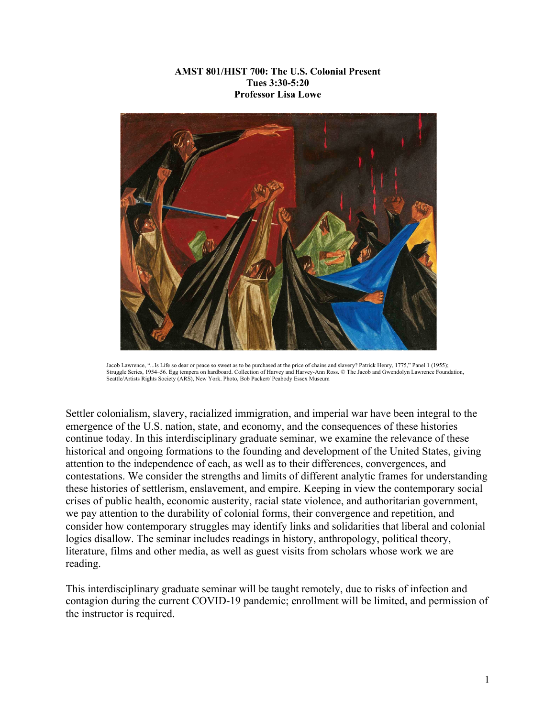### **AMST 801/HIST 700: The U.S. Colonial Present Tues 3:30-5:20 Professor Lisa Lowe**



Jacob Lawrence, "...Is Life so dear or peace so sweet as to be purchased at the price of chains and slavery? Patrick Henry, 1775," Panel 1 (1955); Struggle Series, 1954–56. Egg tempera on hardboard. Collection of Harvey and Harvey-Ann Ross. © The Jacob and Gwendolyn Lawrence Foundation, Seattle/Artists Rights Society (ARS), New York. Photo, Bob Packert/ Peabody Essex Museum

Settler colonialism, slavery, racialized immigration, and imperial war have been integral to the emergence of the U.S. nation, state, and economy, and the consequences of these histories continue today. In this interdisciplinary graduate seminar, we examine the relevance of these historical and ongoing formations to the founding and development of the United States, giving attention to the independence of each, as well as to their differences, convergences, and contestations. We consider the strengths and limits of different analytic frames for understanding these histories of settlerism, enslavement, and empire. Keeping in view the contemporary social crises of public health, economic austerity, racial state violence, and authoritarian government, we pay attention to the durability of colonial forms, their convergence and repetition, and consider how contemporary struggles may identify links and solidarities that liberal and colonial logics disallow. The seminar includes readings in history, anthropology, political theory, literature, films and other media, as well as guest visits from scholars whose work we are reading.

This interdisciplinary graduate seminar will be taught remotely, due to risks of infection and contagion during the current COVID-19 pandemic; enrollment will be limited, and permission of the instructor is required.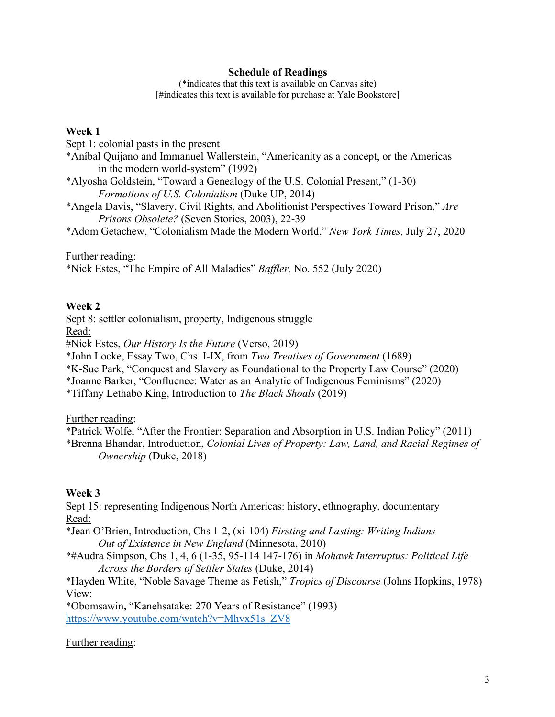### **Schedule of Readings**

(\*indicates that this text is available on Canvas site) [#indicates this text is available for purchase at Yale Bookstore]

#### **Week 1**

Sept 1: colonial pasts in the present

- \*Aníbal Quijano and Immanuel Wallerstein, "Americanity as a concept, or the Americas in the modern world-system" (1992)
- \*Alyosha Goldstein, "Toward a Genealogy of the U.S. Colonial Present," (1-30) *Formations of U.S. Colonialism* (Duke UP, 2014)
- \*Angela Davis, "Slavery, Civil Rights, and Abolitionist Perspectives Toward Prison," *Are Prisons Obsolete?* (Seven Stories, 2003), 22-39
- \*Adom Getachew, "Colonialism Made the Modern World," *New York Times,* July 27, 2020

Further reading:

\*Nick Estes, "The Empire of All Maladies" *Baffler,* No. 552 (July 2020)

## **Week 2**

Sept 8: settler colonialism, property, Indigenous struggle

Read:

#Nick Estes, *Our History Is the Future* (Verso, 2019)

\*John Locke, Essay Two, Chs. I-IX, from *Two Treatises of Government* (1689)

\*K-Sue Park, "Conquest and Slavery as Foundational to the Property Law Course" (2020)

\*Joanne Barker, "Confluence: Water as an Analytic of Indigenous Feminisms" (2020)

\*Tiffany Lethabo King, Introduction to *The Black Shoals* (2019)

Further reading:

\*Patrick Wolfe, "After the Frontier: Separation and Absorption in U.S. Indian Policy" (2011) \*Brenna Bhandar, Introduction, *Colonial Lives of Property: Law, Land, and Racial Regimes of Ownership* (Duke, 2018)

# **Week 3**

Sept 15: representing Indigenous North Americas: history, ethnography, documentary Read:

\*Jean O'Brien, Introduction, Chs 1-2, (xi-104) *Firsting and Lasting: Writing Indians Out of Existence in New England* (Minnesota, 2010)

\*#Audra Simpson, Chs 1, 4, 6 (1-35, 95-114 147-176) in *Mohawk Interruptus: Political Life Across the Borders of Settler States* (Duke, 2014)

\*Hayden White, "Noble Savage Theme as Fetish," *Tropics of Discourse* (Johns Hopkins, 1978) View:

\*Obomsawin**,** "Kanehsatake: 270 Years of Resistance" (1993) https://www.youtube.com/watch?v=Mhvx51s\_ZV8

### Further reading: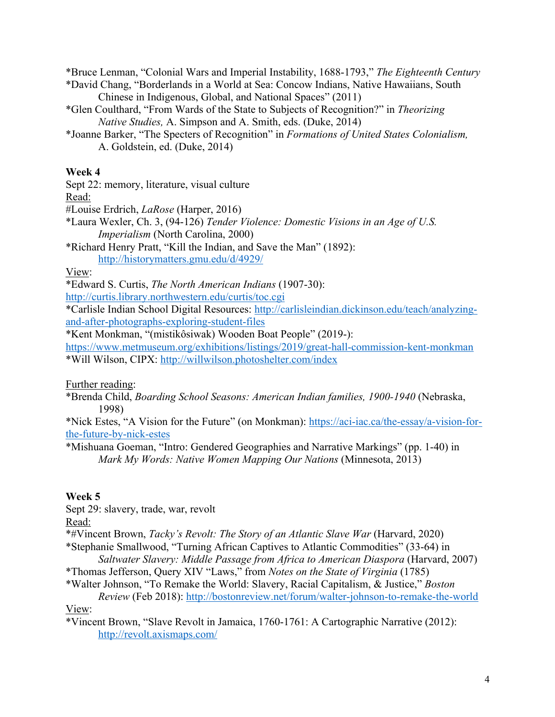\*Bruce Lenman, "Colonial Wars and Imperial Instability, 1688-1793," *The Eighteenth Century* \*David Chang, "Borderlands in a World at Sea: Concow Indians, Native Hawaiians, South

- Chinese in Indigenous, Global, and National Spaces" (2011)
- \*Glen Coulthard, "From Wards of the State to Subjects of Recognition?" in *Theorizing Native Studies,* A. Simpson and A. Smith, eds. (Duke, 2014)
- \*Joanne Barker, "The Specters of Recognition" in *Formations of United States Colonialism,*  A. Goldstein, ed. (Duke, 2014)

### **Week 4**

Sept 22: memory, literature, visual culture

Read:

#Louise Erdrich, *LaRose* (Harper, 2016)

\*Laura Wexler, Ch. 3, (94-126) *Tender Violence: Domestic Visions in an Age of U.S. Imperialism* (North Carolina, 2000)

\*Richard Henry Pratt, "Kill the Indian, and Save the Man" (1892): http://historymatters.gmu.edu/d/4929/

View:

\*Edward S. Curtis, *The North American Indians* (1907-30):

http://curtis.library.northwestern.edu/curtis/toc.cgi

\*Carlisle Indian School Digital Resources: http://carlisleindian.dickinson.edu/teach/analyzingand-after-photographs-exploring-student-files

\*Kent Monkman, "(mistikôsiwak) Wooden Boat People" (2019-):

https://www.metmuseum.org/exhibitions/listings/2019/great-hall-commission-kent-monkman \*Will Wilson, CIPX: http://willwilson.photoshelter.com/index

Further reading:

\*Brenda Child, *Boarding School Seasons: American Indian families, 1900-1940* (Nebraska, 1998)

\*Nick Estes, "A Vision for the Future" (on Monkman): https://aci-iac.ca/the-essay/a-vision-forthe-future-by-nick-estes

\*Mishuana Goeman, "Intro: Gendered Geographies and Narrative Markings" (pp. 1-40) in *Mark My Words: Native Women Mapping Our Nations* (Minnesota, 2013)

### **Week 5**

Sept 29: slavery, trade, war, revolt

Read:

\*#Vincent Brown, *Tacky's Revolt: The Story of an Atlantic Slave War* (Harvard, 2020) \*Stephanie Smallwood, "Turning African Captives to Atlantic Commodities" (33-64) in *Saltwater Slavery: Middle Passage from Africa to American Diaspora* (Harvard, 2007)

\*Thomas Jefferson, Query XIV "Laws," from *Notes on the State of Virginia* (1785)

\*Walter Johnson, "To Remake the World: Slavery, Racial Capitalism, & Justice," *Boston Review* (Feb 2018): http://bostonreview.net/forum/walter-johnson-to-remake-the-world

View:

\*Vincent Brown, "Slave Revolt in Jamaica, 1760-1761: A Cartographic Narrative (2012): http://revolt.axismaps.com/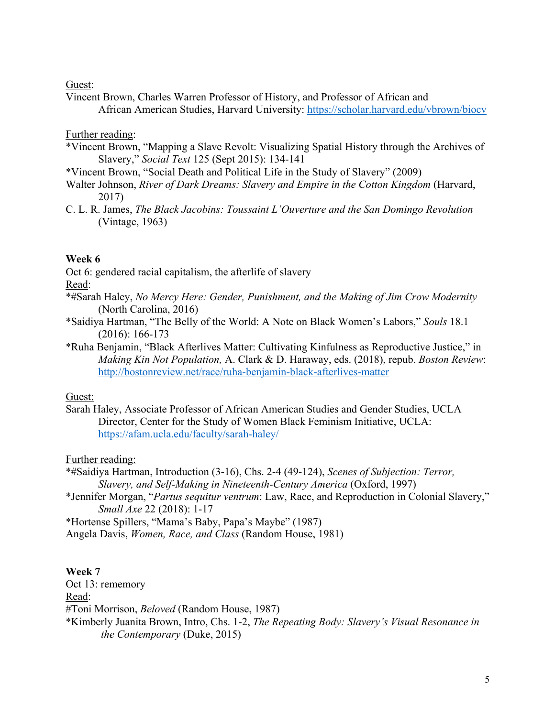Guest:

Vincent Brown, Charles Warren Professor of History, and Professor of African and African American Studies, Harvard University: https://scholar.harvard.edu/vbrown/biocv

## Further reading:

- \*Vincent Brown, "Mapping a Slave Revolt: Visualizing Spatial History through the Archives of Slavery," *Social Text* 125 (Sept 2015): 134-141
- \*Vincent Brown, "Social Death and Political Life in the Study of Slavery" (2009)
- Walter Johnson, *River of Dark Dreams: Slavery and Empire in the Cotton Kingdom* (Harvard, 2017)
- C. L. R. James, *The Black Jacobins: Toussaint L'Ouverture and the San Domingo Revolution* (Vintage, 1963)

## **Week 6**

Oct 6: gendered racial capitalism, the afterlife of slavery

Read:

- \*#Sarah Haley, *No Mercy Here: Gender, Punishment, and the Making of Jim Crow Modernity*  (North Carolina, 2016)
- \*Saidiya Hartman, "The Belly of the World: A Note on Black Women's Labors," *Souls* 18.1 (2016): 166-173
- \*Ruha Benjamin, "Black Afterlives Matter: Cultivating Kinfulness as Reproductive Justice," in *Making Kin Not Population,* A. Clark & D. Haraway, eds. (2018), repub. *Boston Review*: http://bostonreview.net/race/ruha-benjamin-black-afterlives-matter

# Guest:

Sarah Haley, Associate Professor of African American Studies and Gender Studies, UCLA Director, Center for the Study of Women Black Feminism Initiative, UCLA: https://afam.ucla.edu/faculty/sarah-haley/

# Further reading:

\*#Saidiya Hartman, Introduction (3-16), Chs. 2-4 (49-124), *Scenes of Subjection: Terror, Slavery, and Self-Making in Nineteenth-Century America* (Oxford, 1997)

\*Jennifer Morgan, "*Partus sequitur ventrum*: Law, Race, and Reproduction in Colonial Slavery," *Small Axe* 22 (2018): 1-17

\*Hortense Spillers, "Mama's Baby, Papa's Maybe" (1987)

Angela Davis, *Women, Race, and Class* (Random House, 1981)

# **Week 7**

Oct 13: rememory Read: #Toni Morrison, *Beloved* (Random House, 1987) \*Kimberly Juanita Brown, Intro, Chs. 1-2, *The Repeating Body: Slavery's Visual Resonance in the Contemporary* (Duke, 2015)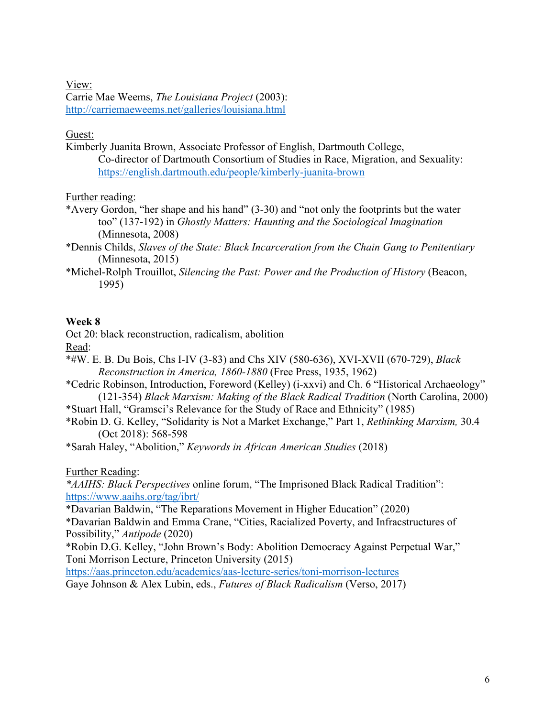View: Carrie Mae Weems, *The Louisiana Project* (2003): http://carriemaeweems.net/galleries/louisiana.html

# Guest:

Kimberly Juanita Brown, Associate Professor of English, Dartmouth College, Co-director of Dartmouth Consortium of Studies in Race, Migration, and Sexuality: https://english.dartmouth.edu/people/kimberly-juanita-brown

Further reading:

- \*Avery Gordon, "her shape and his hand" (3-30) and "not only the footprints but the water too" (137-192) in *Ghostly Matters: Haunting and the Sociological Imagination* (Minnesota, 2008)
- \*Dennis Childs, *Slaves of the State: Black Incarceration from the Chain Gang to Penitentiary* (Minnesota, 2015)
- \*Michel-Rolph Trouillot, *Silencing the Past: Power and the Production of History* (Beacon, 1995)

# **Week 8**

Oct 20: black reconstruction, radicalism, abolition Read:

- \*#W. E. B. Du Bois, Chs I-IV (3-83) and Chs XIV (580-636), XVI-XVII (670-729), *Black Reconstruction in America, 1860-1880* (Free Press, 1935, 1962)
- \*Cedric Robinson, Introduction, Foreword (Kelley) (i-xxvi) and Ch. 6 "Historical Archaeology" (121-354) *Black Marxism: Making of the Black Radical Tradition* (North Carolina, 2000)
- \*Stuart Hall, "Gramsci's Relevance for the Study of Race and Ethnicity" (1985)
- \*Robin D. G. Kelley, "Solidarity is Not a Market Exchange," Part 1, *Rethinking Marxism,* 30.4 (Oct 2018): 568-598

\*Sarah Haley, "Abolition," *Keywords in African American Studies* (2018)

Further Reading:

*\*AAIHS: Black Perspectives* online forum, "The Imprisoned Black Radical Tradition": https://www.aaihs.org/tag/ibrt/

\*Davarian Baldwin, "The Reparations Movement in Higher Education" (2020)

\*Davarian Baldwin and Emma Crane, "Cities, Racialized Poverty, and Infracstructures of Possibility," *Antipode* (2020)

\*Robin D.G. Kelley, "John Brown's Body: Abolition Democracy Against Perpetual War," Toni Morrison Lecture, Princeton University (2015)

https://aas.princeton.edu/academics/aas-lecture-series/toni-morrison-lectures Gaye Johnson & Alex Lubin, eds., *Futures of Black Radicalism* (Verso, 2017)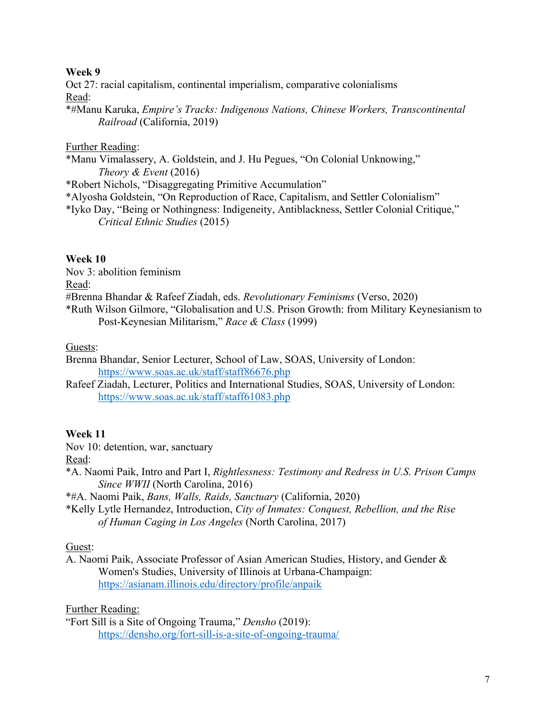## **Week 9**

Oct 27: racial capitalism, continental imperialism, comparative colonialisms Read:

\*#Manu Karuka, *Empire's Tracks: Indigenous Nations, Chinese Workers, Transcontinental Railroad* (California, 2019)

### Further Reading:

\*Manu Vimalassery, A. Goldstein, and J. Hu Pegues, "On Colonial Unknowing," *Theory & Event* (2016)

\*Robert Nichols, "Disaggregating Primitive Accumulation"

\*Alyosha Goldstein, "On Reproduction of Race, Capitalism, and Settler Colonialism"

\*Iyko Day, "Being or Nothingness: Indigeneity, Antiblackness, Settler Colonial Critique," *Critical Ethnic Studies* (2015)

## **Week 10**

Nov 3: abolition feminism

Read:

#Brenna Bhandar & Rafeef Ziadah, eds. *Revolutionary Feminisms* (Verso, 2020)

\*Ruth Wilson Gilmore, "Globalisation and U.S. Prison Growth: from Military Keynesianism to Post-Keynesian Militarism," *Race & Class* (1999)

### Guests:

Brenna Bhandar, Senior Lecturer, School of Law, SOAS, University of London: https://www.soas.ac.uk/staff/staff86676.php

Rafeef Ziadah, Lecturer, Politics and International Studies, SOAS, University of London: https://www.soas.ac.uk/staff/staff61083.php

### **Week 11**

Nov 10: detention, war, sanctuary

Read:

\*A. Naomi Paik, Intro and Part I, *Rightlessness: Testimony and Redress in U.S. Prison Camps Since WWII* (North Carolina, 2016)

\*#A. Naomi Paik, *Bans, Walls, Raids, Sanctuary* (California, 2020)

\*Kelly Lytle Hernandez, Introduction, *City of Inmates: Conquest, Rebellion, and the Rise of Human Caging in Los Angeles* (North Carolina, 2017)

### Guest:

A. Naomi Paik, Associate Professor of Asian American Studies, History, and Gender & Women's Studies, University of Illinois at Urbana-Champaign: https://asianam.illinois.edu/directory/profile/anpaik

Further Reading:

"Fort Sill is a Site of Ongoing Trauma," *Densho* (2019): https://densho.org/fort-sill-is-a-site-of-ongoing-trauma/